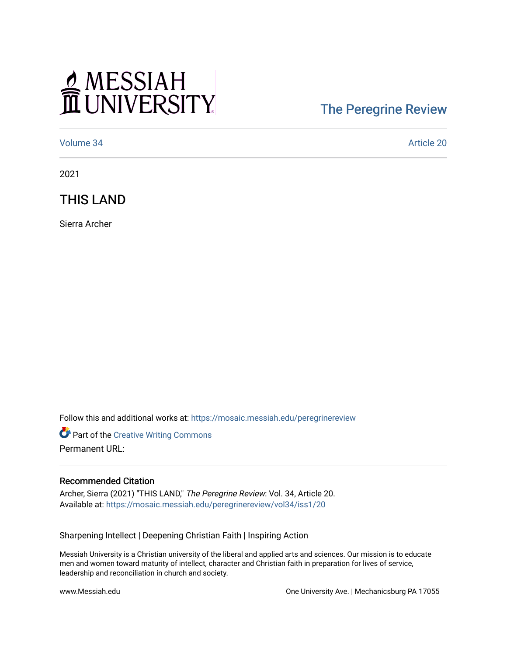## MESSIAH

## [The Peregrine Review](https://mosaic.messiah.edu/peregrinereview)

[Volume 34](https://mosaic.messiah.edu/peregrinereview/vol34) Article 20

2021

THIS LAND

Sierra Archer

Follow this and additional works at: [https://mosaic.messiah.edu/peregrinereview](https://mosaic.messiah.edu/peregrinereview?utm_source=mosaic.messiah.edu%2Fperegrinereview%2Fvol34%2Fiss1%2F20&utm_medium=PDF&utm_campaign=PDFCoverPages) 

Part of the [Creative Writing Commons](http://network.bepress.com/hgg/discipline/574?utm_source=mosaic.messiah.edu%2Fperegrinereview%2Fvol34%2Fiss1%2F20&utm_medium=PDF&utm_campaign=PDFCoverPages)  Permanent URL:

## Recommended Citation

Archer, Sierra (2021) "THIS LAND," The Peregrine Review: Vol. 34, Article 20. Available at: [https://mosaic.messiah.edu/peregrinereview/vol34/iss1/20](https://mosaic.messiah.edu/peregrinereview/vol34/iss1/20?utm_source=mosaic.messiah.edu%2Fperegrinereview%2Fvol34%2Fiss1%2F20&utm_medium=PDF&utm_campaign=PDFCoverPages)

Sharpening Intellect | Deepening Christian Faith | Inspiring Action

Messiah University is a Christian university of the liberal and applied arts and sciences. Our mission is to educate men and women toward maturity of intellect, character and Christian faith in preparation for lives of service, leadership and reconciliation in church and society.

www.Messiah.edu **One University Ave. | Mechanicsburg PA 17055**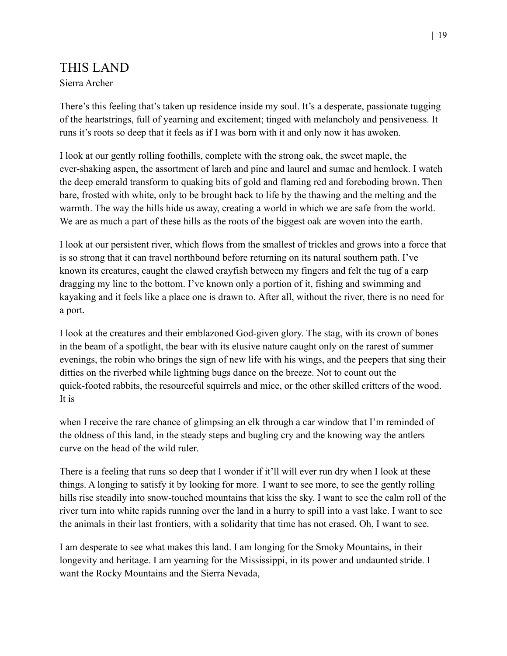## THIS LAND Sierra Archer

There's this feeling that's taken up residence inside my soul. It's a desperate, passionate tugging of the heartstrings, full of yearning and excitement; tinged with melancholy and pensiveness. It runs it's roots so deep that it feels as if I was born with it and only now it has awoken.

I look at our gently rolling foothills, complete with the strong oak, the sweet maple, the ever-shaking aspen, the assortment of larch and pine and laurel and sumac and hemlock. I watch the deep emerald transform to quaking bits of gold and flaming red and foreboding brown. Then bare, frosted with white, only to be brought back to life by the thawing and the melting and the warmth. The way the hills hide us away, creating a world in which we are safe from the world. We are as much a part of these hills as the roots of the biggest oak are woven into the earth.

I look at our persistent river, which flows from the smallest of trickles and grows into a force that is so strong that it can travel northbound before returning on its natural southern path. I've known its creatures, caught the clawed crayfish between my fingers and felt the tug of a carp dragging my line to the bottom. I've known only a portion of it, fishing and swimming and kayaking and it feels like a place one is drawn to. After all, without the river, there is no need for a port.

I look at the creatures and their emblazoned God-given glory. The stag, with its crown of bones in the beam of a spotlight, the bear with its elusive nature caught only on the rarest of summer evenings, the robin who brings the sign of new life with his wings, and the peepers that sing their ditties on the riverbed while lightning bugs dance on the breeze. Not to count out the quick-footed rabbits, the resourceful squirrels and mice, or the other skilled critters of the wood. It is

when I receive the rare chance of glimpsing an elk through a car window that I'm reminded of the oldness of this land, in the steady steps and bugling cry and the knowing way the antlers curve on the head of the wild ruler.

There is a feeling that runs so deep that I wonder if it'll will ever run dry when I look at these things. A longing to satisfy it by looking for more. I want to see more, to see the gently rolling hills rise steadily into snow-touched mountains that kiss the sky. I want to see the calm roll of the river turn into white rapids running over the land in a hurry to spill into a vast lake. I want to see the animals in their last frontiers, with a solidarity that time has not erased. Oh, I want to see.

I am desperate to see what makes this land. I am longing for the Smoky Mountains, in their longevity and heritage. I am yearning for the Mississippi, in its power and undaunted stride. I want the Rocky Mountains and the Sierra Nevada,